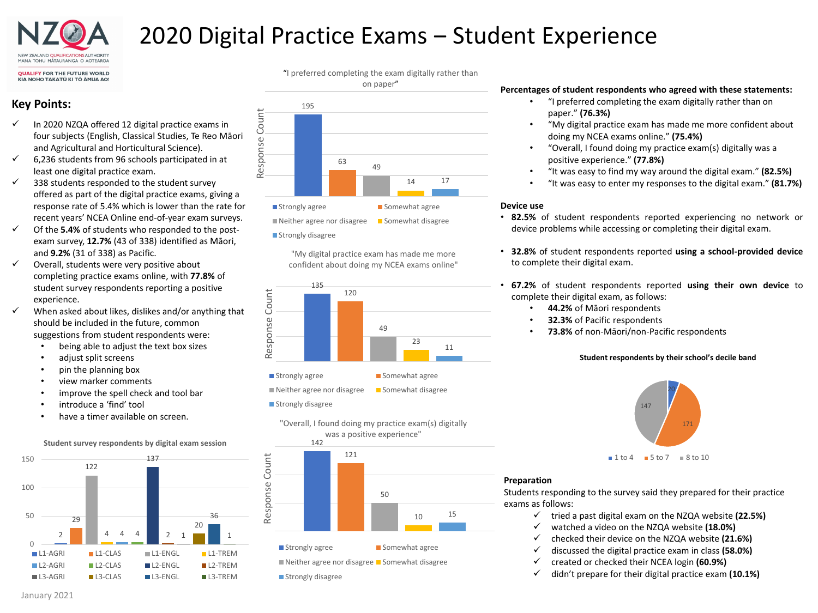

# 2020 Digital Practice Exams – Student Experience

# **Key Points:**

- In 2020 NZQA offered 12 digital practice exams in four subjects (English, Classical Studies, Te Reo Māori and Agricultural and Horticultural Science).
- $6,236$  students from 96 schools participated in at least one digital practice exam.
- 338 students responded to the student survey offered as part of the digital practice exams, giving a response rate of 5.4% which is lower than the rate for recent years' NCEA Online end-of-year exam surveys.
- Of the **5.4%** of students who responded to the postexam survey, **12.7%** (43 of 338) identified as Māori, and **9.2%** (31 of 338) as Pacific.
- $\checkmark$  Overall, students were very positive about completing practice exams online, with **77.8%** of student survey respondents reporting a positive experience.
- $\checkmark$  When asked about likes, dislikes and/or anything that should be included in the future, common suggestions from student respondents were:
	- being able to adjust the text box sizes
	- adjust split screens
	- pin the planning box
	- view marker comments
	- improve the spell check and tool bar
	- introduce a 'find' tool
	- have a timer available on screen.



**Student survey respondents by digital exam session**







"My digital practice exam has made me more confident about doing my NCEA exams online"



Strongly agree Somewhat agree

 $\blacksquare$  Neither agree nor disagree  $\blacksquare$  Somewhat disagree

- **Strongly disagree** 
	- 142 "Overall, I found doing my practice exam(s) digitally was a positive experience"



### **Percentages of student respondents who agreed with these statements:**

- "I preferred completing the exam digitally rather than on paper." **(76.3%)**
- "My digital practice exam has made me more confident about doing my NCEA exams online." **(75.4%)**
- "Overall, I found doing my practice exam(s) digitally was a positive experience." **(77.8%)**
- "It was easy to find my way around the digital exam." **(82.5%)**
- "It was easy to enter my responses to the digital exam." **(81.7%)**

### **Device use**

- **82.5%** of student respondents reported experiencing no network or device problems while accessing or completing their digital exam.
- **32.8%** of student respondents reported **using a school-provided device** to complete their digital exam.
- **67.2%** of student respondents reported **using their own device** to complete their digital exam, as follows:
	- **44.2%** of Māori respondents
	- **32.3%** of Pacific respondents
	- **73.8%** of non-Māori/non-Pacific respondents

### **Student respondents by their school's decile band**



### **Preparation**

Students responding to the survey said they prepared for their practice exams as follows:

- $\checkmark$  tried a past digital exam on the NZQA website (22.5%)
- watched a video on the NZQA website **(18.0%)**
- checked their device on the NZQA website **(21.6%)**
- discussed the digital practice exam in class **(58.0%)**
- created or checked their NCEA login **(60.9%)**
- $\checkmark$  didn't prepare for their digital practice exam (10.1%)